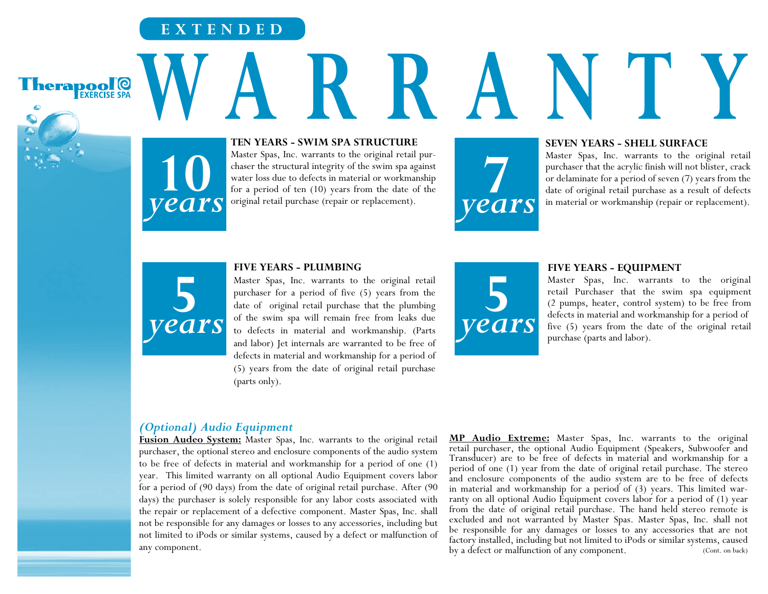# **EXTENDED**

Therapool<sup>o</sup>

**TEN YEARS - SWIM SPA STRUCTURE W ARRANTY**

> Master Spas, Inc. warrants to the original retail purchaser the structural integrity of the swim spa against water loss due to defects in material or workmanship for a period of ten (10) years from the date of the original retail purchase (repair or replacement).

## **SEVEN YEARS - SHELL SURFACE**

Master Spas, Inc. warrants to the original retail purchaser that the acrylic finish will not blister, crack or delaminate for a period of seven (7) years from the date of original retail purchase as a result of defects **7** in material or workmanship (repair or replacement).



**10**

*years*

### **FIVE YEARS - PLUMBING**

Master Spas, Inc. warrants to the original retail purchaser for a period of five (5) years from the date of original retail purchase that the plumbing of the swim spa will remain free from leaks due to defects in material and workmanship. (Parts and labor) Jet internals are warranted to be free of defects in material and workmanship for a period of (5) years from the date of original retail purchase (parts only).



### **FIVE YEARS - EQUIPMENT**

Master Spas, Inc. warrants to the original retail Purchaser that the swim spa equipment (2 pumps, heater, control system) to be free from defects in material and workmanship for a period of five (5) years from the date of the original retail purchase (parts and labor).

# *(Optional) Audio Equipment*

**Fusion Audeo System:** Master Spas, Inc. warrants to the original retail purchaser, the optional stereo and enclosure components of the audio system to be free of defects in material and workmanship for a period of one (1) year. This limited warranty on all optional Audio Equipment covers labor for a period of (90 days) from the date of original retail purchase. After (90 days) the purchaser is solely responsible for any labor costs associated with the repair or replacement of a defective component. Master Spas, Inc. shall not be responsible for any damages or losses to any accessories, including but not limited to iPods or similar systems, caused by a defect or malfunction of any component.

**MP Audio Extreme:** Master Spas, Inc. warrants to the original retail purchaser, the optional Audio Equipment (Speakers, Subwoofer and Transducer) are to be free of defects in material and workmanship for a period of one (1) year from the date of original retail purchase. The stereo and enclosure components of the audio system are to be free of defects in material and workmanship for a period of (3) years. This limited war- ranty on all optional Audio Equipment covers labor for a period of (1) year from the date of original retail purchase. The hand held stereo remote is excluded and not warranted by Master Spas. Master Spas, Inc. shall not be responsible for any damages or losses to any accessories that are not factory installed, including but not limited to iPods or similar systems, caused by a defect or malfunction of any component. (Cont. on back)